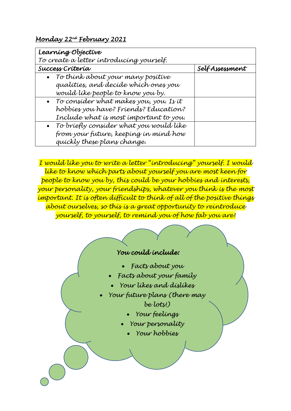## *Monday 22nd February 2021*

| Learning Objective                        |                |
|-------------------------------------------|----------------|
| To create a letter introducing yourself.  |                |
| Success Crítería                          | SelfAssessment |
| • To think about your many positive       |                |
| qualíties, and decíde whích ones you      |                |
| would like people to know you by.         |                |
| • To consider what makes you, you. Is it  |                |
| hobbíes you have? Fríends? Education?     |                |
| Include what is most important to you.    |                |
| • To bríefly consíder what you would líke |                |
| from your future, keeping in mind how     |                |
| quíckly these plans change.               |                |

*I would like you to write a letter "introducing" yourself. I would like to know which parts about yourself you are most keen for people to know you by, this could be your hobbies and interests, your personality, your friendships, whatever you think is the most important. It is often difficult to think of all of the positive things about ourselves, so this is a great opportunity to reintroduce yourself, to yourself, to remind you of how fab you are!*

## *You could include:*

- *Facts about you*
- *Facts about your family*
- *Your likes and dislikes*
- *Your future plans (there may be lots!)* 
	- *Your feelings*
	- *Your personality* 
		- *Your hobbies*